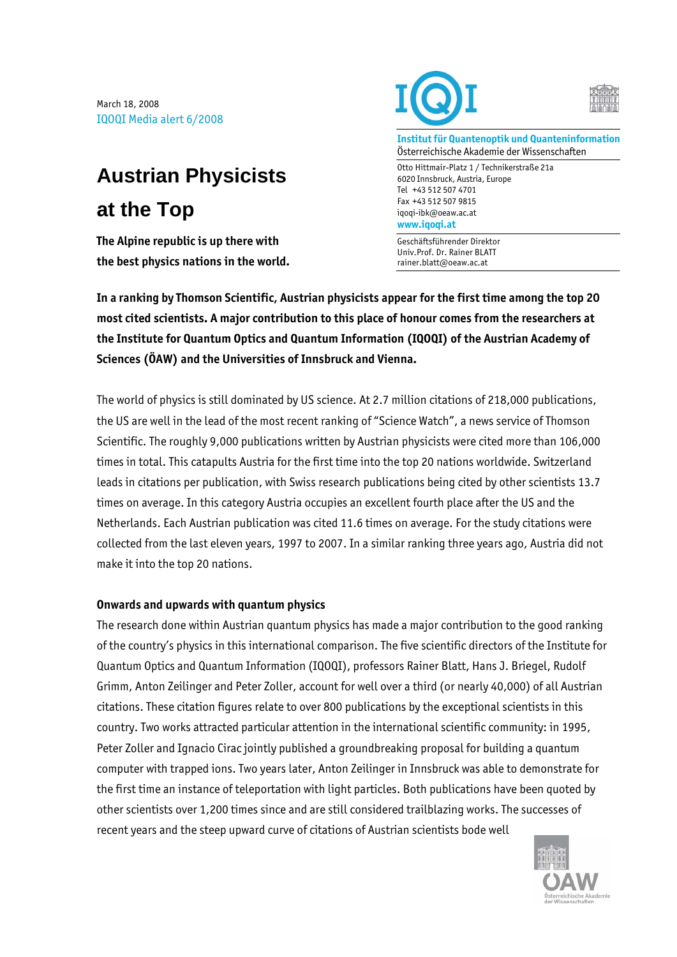March 18, 2008 IQOQI Media alert 6/2008

## **Austrian Physicists at the Top**

**The Alpine republic is up there with the best physics nations in the world.** 





**Institut für Quantenoptik und Quanteninformation**  Österreichische Akademie der Wissenschaften

Otto Hittmair-Platz 1 / Technikerstraße 21a 6020 Innsbruck, Austria, Europe Tel +43 512 507 4701 Fax +43 512 507 9815 iqoqi-ibk@oeaw.ac.at **www.iqoqi.at** 

Geschäftsführender Direktor Univ.Prof. Dr. Rainer BLATT rainer.blatt@oeaw.ac.at

**In a ranking by Thomson Scientific, Austrian physicists appear for the first time among the top 20 most cited scientists. A major contribution to this place of honour comes from the researchers at the Institute for Quantum Optics and Quantum Information (IQOQI) of the Austrian Academy of Sciences (ÖAW) and the Universities of Innsbruck and Vienna.** 

The world of physics is still dominated by US science. At 2.7 million citations of 218,000 publications, the US are well in the lead of the most recent ranking of "Science Watch", a news service of Thomson Scientific. The roughly 9,000 publications written by Austrian physicists were cited more than 106,000 times in total. This catapults Austria for the first time into the top 20 nations worldwide. Switzerland leads in citations per publication, with Swiss research publications being cited by other scientists 13.7 times on average. In this category Austria occupies an excellent fourth place after the US and the Netherlands. Each Austrian publication was cited 11.6 times on average. For the study citations were collected from the last eleven years, 1997 to 2007. In a similar ranking three years ago, Austria did not make it into the top 20 nations.

## **Onwards and upwards with quantum physics**

The research done within Austrian quantum physics has made a major contribution to the good ranking of the country's physics in this international comparison. The five scientific directors of the Institute for Quantum Optics and Quantum Information (IQOQI), professors Rainer Blatt, Hans J. Briegel, Rudolf Grimm, Anton Zeilinger and Peter Zoller, account for well over a third (or nearly 40,000) of all Austrian citations. These citation figures relate to over 800 publications by the exceptional scientists in this country. Two works attracted particular attention in the international scientific community: in 1995, Peter Zoller and Ignacio Cirac jointly published a groundbreaking proposal for building a quantum computer with trapped ions. Two years later, Anton Zeilinger in Innsbruck was able to demonstrate for the first time an instance of teleportation with light particles. Both publications have been quoted by other scientists over 1,200 times since and are still considered trailblazing works. The successes of recent years and the steep upward curve of citations of Austrian scientists bode well